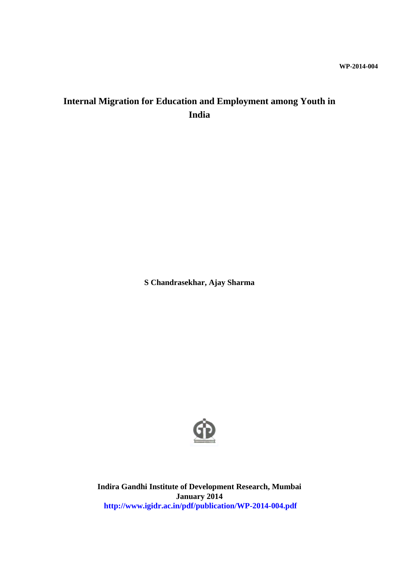# **Internal Migration for Education and Employment among Youth in India**

**S Chandrasekhar, Ajay Sharma**



**Indira Gandhi Institute of Development Research, Mumbai January 2014 http://www.igidr.ac.in/pdf/publication/WP-2014-004.pdf**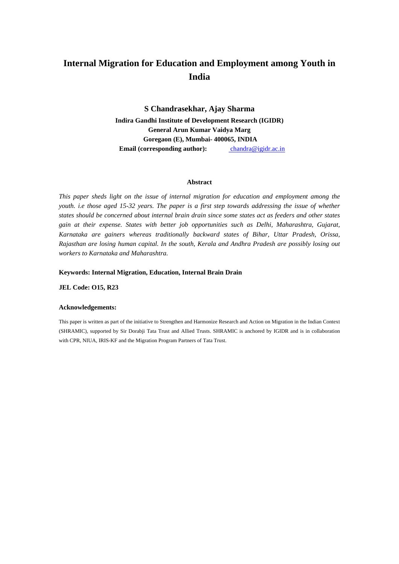# **Internal Migration for Education and Employment among Youth in India**

**S Chandrasekhar, Ajay Sharma Indira Gandhi Institute of Development Research (IGIDR) General Arun Kumar Vaidya Marg Goregaon (E), Mumbai- 400065, INDIA Email (corresponding author):** chandra@igidr.ac.in

#### **Abstract**

*This paper sheds light on the issue of internal migration for education and employment among the youth. i.e those aged 15-32 years. The paper is a first step towards addressing the issue of whether states should be concerned about internal brain drain since some states act as feeders and other states gain at their expense. States with better job opportunities such as Delhi, Maharashtra, Gujarat, Karnataka are gainers whereas traditionally backward states of Bihar, Uttar Pradesh, Orissa, Rajasthan are losing human capital. In the south, Kerala and Andhra Pradesh are possibly losing out workers to Karnataka and Maharashtra.* 

#### **Keywords: Internal Migration, Education, Internal Brain Drain**

**JEL Code: O15, R23**

#### **Acknowledgements:**

This paper is written as part of the initiative to Strengthen and Harmonize Research and Action on Migration in the Indian Context (SHRAMIC), supported by Sir Dorabji Tata Trust and Allied Trusts. SHRAMIC is anchored by IGIDR and is in collaboration with CPR, NIUA, IRIS-KF and the Migration Program Partners of Tata Trust.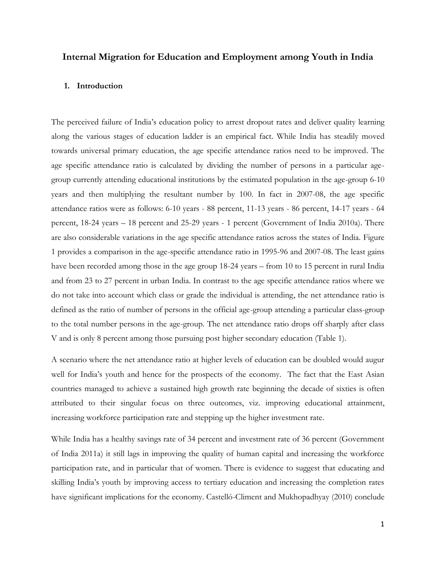## **Internal Migration for Education and Employment among Youth in India**

## **1. Introduction**

The perceived failure of India"s education policy to arrest dropout rates and deliver quality learning along the various stages of education ladder is an empirical fact. While India has steadily moved towards universal primary education, the age specific attendance ratios need to be improved. The age specific attendance ratio is calculated by dividing the number of persons in a particular agegroup currently attending educational institutions by the estimated population in the age-group 6-10 years and then multiplying the resultant number by 100. In fact in 2007-08, the age specific attendance ratios were as follows: 6-10 years - 88 percent, 11-13 years - 86 percent, 14-17 years - 64 percent, 18-24 years – 18 percent and 25-29 years - 1 percent (Government of India 2010a). There are also considerable variations in the age specific attendance ratios across the states of India. Figure 1 provides a comparison in the age-specific attendance ratio in 1995-96 and 2007-08. The least gains have been recorded among those in the age group 18-24 years – from 10 to 15 percent in rural India and from 23 to 27 percent in urban India. In contrast to the age specific attendance ratios where we do not take into account which class or grade the individual is attending, the net attendance ratio is defined as the ratio of number of persons in the official age-group attending a particular class-group to the total number persons in the age-group. The net attendance ratio drops off sharply after class V and is only 8 percent among those pursuing post higher secondary education (Table 1).

A scenario where the net attendance ratio at higher levels of education can be doubled would augur well for India's youth and hence for the prospects of the economy. The fact that the East Asian countries managed to achieve a sustained high growth rate beginning the decade of sixties is often attributed to their singular focus on three outcomes, viz. improving educational attainment, increasing workforce participation rate and stepping up the higher investment rate.

While India has a healthy savings rate of 34 percent and investment rate of 36 percent (Government of India 2011a) it still lags in improving the quality of human capital and increasing the workforce participation rate, and in particular that of women. There is evidence to suggest that educating and skilling India"s youth by improving access to tertiary education and increasing the completion rates have significant implications for the economy. Castelló-Climent and Mukhopadhyay (2010) conclude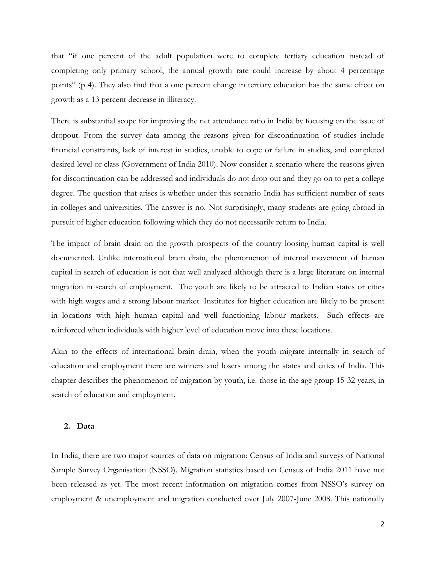that "if one percent of the adult population were to complete tertiary education instead of completing only primary school, the annual growth rate could increase by about 4 percentage points" (p 4). They also find that a one percent change in tertiary education has the same effect on growth as a 13 percent decrease in illiteracy.

There is substantial scope for improving the net attendance ratio in India by focusing on the issue of dropout. From the survey data among the reasons given for discontinuation of studies include financial constraints, lack of interest in studies, unable to cope or failure in studies, and completed desired level or class (Government of India 2010). Now consider a scenario where the reasons given for discontinuation can be addressed and individuals do not drop out and they go on to get a college degree. The question that arises is whether under this scenario India has sufficient number of seats in colleges and universities. The answer is no. Not surprisingly, many students are going abroad in pursuit of higher education following which they do not necessarily return to India.

The impact of brain drain on the growth prospects of the country loosing human capital is well documented. Unlike international brain drain, the phenomenon of internal movement of human capital in search of education is not that well analyzed although there is a large literature on internal migration in search of employment. The youth are likely to be attracted to Indian states or cities with high wages and a strong labour market. Institutes for higher education are likely to be present in locations with high human capital and well functioning labour markets. Such effects are reinforced when individuals with higher level of education move into these locations.

Akin to the effects of international brain drain, when the youth migrate internally in search of education and employment there are winners and losers among the states and cities of India. This chapter describes the phenomenon of migration by youth, i.e. those in the age group 15-32 years, in search of education and employment.

### **2. Data**

In India, there are two major sources of data on migration: Census of India and surveys of National Sample Survey Organisation (NSSO). Migration statistics based on Census of India 2011 have not been released as yet. The most recent information on migration comes from NSSO"s survey on employment & unemployment and migration conducted over July 2007-June 2008. This nationally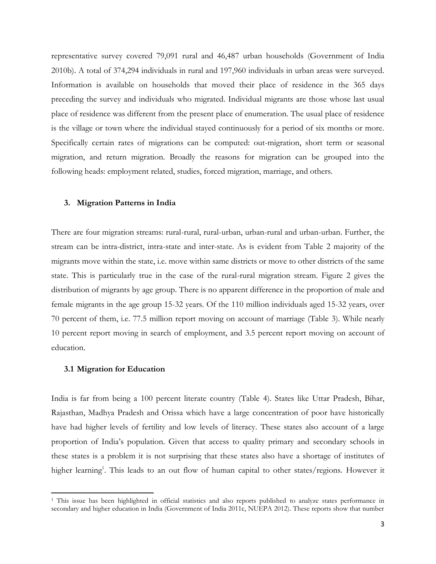representative survey covered 79,091 rural and 46,487 urban households (Government of India 2010b). A total of 374,294 individuals in rural and 197,960 individuals in urban areas were surveyed. Information is available on households that moved their place of residence in the 365 days preceding the survey and individuals who migrated. Individual migrants are those whose last usual place of residence was different from the present place of enumeration. The usual place of residence is the village or town where the individual stayed continuously for a period of six months or more. Specifically certain rates of migrations can be computed: out-migration, short term or seasonal migration, and return migration. Broadly the reasons for migration can be grouped into the following heads: employment related, studies, forced migration, marriage, and others.

### **3. Migration Patterns in India**

There are four migration streams: rural-rural, rural-urban, urban-rural and urban-urban. Further, the stream can be intra-district, intra-state and inter-state. As is evident from Table 2 majority of the migrants move within the state, i.e. move within same districts or move to other districts of the same state. This is particularly true in the case of the rural-rural migration stream. Figure 2 gives the distribution of migrants by age group. There is no apparent difference in the proportion of male and female migrants in the age group 15-32 years. Of the 110 million individuals aged 15-32 years, over 70 percent of them, i.e. 77.5 million report moving on account of marriage (Table 3). While nearly 10 percent report moving in search of employment, and 3.5 percent report moving on account of education.

#### **3.1 Migration for Education**

 $\overline{\phantom{a}}$ 

India is far from being a 100 percent literate country (Table 4). States like Uttar Pradesh, Bihar, Rajasthan, Madhya Pradesh and Orissa which have a large concentration of poor have historically have had higher levels of fertility and low levels of literacy. These states also account of a large proportion of India"s population. Given that access to quality primary and secondary schools in these states is a problem it is not surprising that these states also have a shortage of institutes of higher learning<sup>1</sup>. This leads to an out flow of human capital to other states/regions. However it

<sup>&</sup>lt;sup>1</sup> This issue has been highlighted in official statistics and also reports published to analyze states performance in secondary and higher education in India (Government of India 2011c, NUEPA 2012). These reports show that number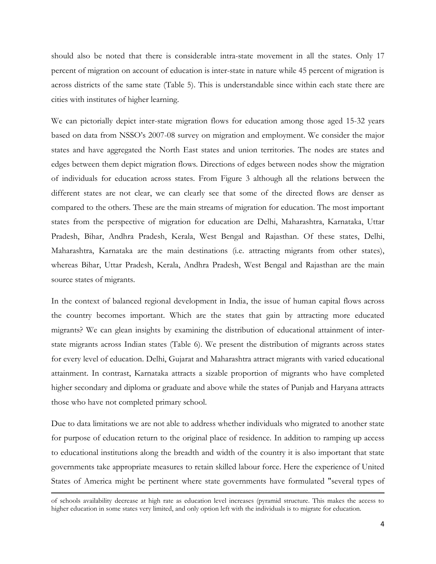should also be noted that there is considerable intra-state movement in all the states. Only 17 percent of migration on account of education is inter-state in nature while 45 percent of migration is across districts of the same state (Table 5). This is understandable since within each state there are cities with institutes of higher learning.

We can pictorially depict inter-state migration flows for education among those aged 15-32 years based on data from NSSO"s 2007-08 survey on migration and employment. We consider the major states and have aggregated the North East states and union territories. The nodes are states and edges between them depict migration flows. Directions of edges between nodes show the migration of individuals for education across states. From Figure 3 although all the relations between the different states are not clear, we can clearly see that some of the directed flows are denser as compared to the others. These are the main streams of migration for education. The most important states from the perspective of migration for education are Delhi, Maharashtra, Karnataka, Uttar Pradesh, Bihar, Andhra Pradesh, Kerala, West Bengal and Rajasthan. Of these states, Delhi, Maharashtra, Karnataka are the main destinations (i.e. attracting migrants from other states), whereas Bihar, Uttar Pradesh, Kerala, Andhra Pradesh, West Bengal and Rajasthan are the main source states of migrants.

In the context of balanced regional development in India, the issue of human capital flows across the country becomes important. Which are the states that gain by attracting more educated migrants? We can glean insights by examining the distribution of educational attainment of interstate migrants across Indian states (Table 6). We present the distribution of migrants across states for every level of education. Delhi, Gujarat and Maharashtra attract migrants with varied educational attainment. In contrast, Karnataka attracts a sizable proportion of migrants who have completed higher secondary and diploma or graduate and above while the states of Punjab and Haryana attracts those who have not completed primary school.

Due to data limitations we are not able to address whether individuals who migrated to another state for purpose of education return to the original place of residence. In addition to ramping up access to educational institutions along the breadth and width of the country it is also important that state governments take appropriate measures to retain skilled labour force. Here the experience of United States of America might be pertinent where state governments have formulated "several types of

 $\overline{\phantom{a}}$ 

of schools availability decrease at high rate as education level increases (pyramid structure. This makes the access to higher education in some states very limited, and only option left with the individuals is to migrate for education.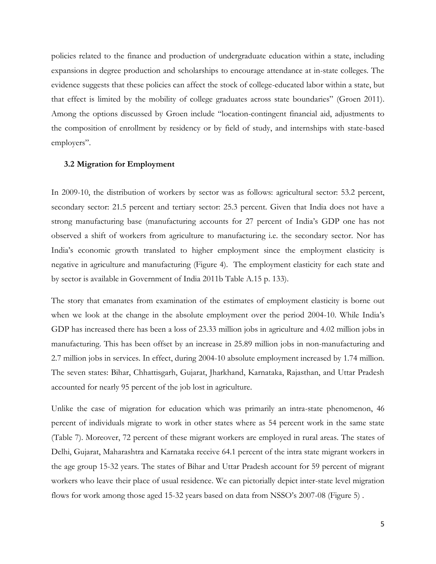policies related to the finance and production of undergraduate education within a state, including expansions in degree production and scholarships to encourage attendance at in-state colleges. The evidence suggests that these policies can affect the stock of college-educated labor within a state, but that effect is limited by the mobility of college graduates across state boundaries" (Groen 2011). Among the options discussed by Groen include "location-contingent financial aid, adjustments to the composition of enrollment by residency or by field of study, and internships with state-based employers".

### **3.2 Migration for Employment**

In 2009-10, the distribution of workers by sector was as follows: agricultural sector: 53.2 percent, secondary sector: 21.5 percent and tertiary sector: 25.3 percent. Given that India does not have a strong manufacturing base (manufacturing accounts for 27 percent of India"s GDP one has not observed a shift of workers from agriculture to manufacturing i.e. the secondary sector. Nor has India"s economic growth translated to higher employment since the employment elasticity is negative in agriculture and manufacturing (Figure 4). The employment elasticity for each state and by sector is available in Government of India 2011b Table A.15 p. 133).

The story that emanates from examination of the estimates of employment elasticity is borne out when we look at the change in the absolute employment over the period 2004-10. While India's GDP has increased there has been a loss of 23.33 million jobs in agriculture and 4.02 million jobs in manufacturing. This has been offset by an increase in 25.89 million jobs in non-manufacturing and 2.7 million jobs in services. In effect, during 2004-10 absolute employment increased by 1.74 million. The seven states: Bihar, Chhattisgarh, Gujarat, Jharkhand, Karnataka, Rajasthan, and Uttar Pradesh accounted for nearly 95 percent of the job lost in agriculture.

Unlike the case of migration for education which was primarily an intra-state phenomenon, 46 percent of individuals migrate to work in other states where as 54 percent work in the same state (Table 7). Moreover, 72 percent of these migrant workers are employed in rural areas. The states of Delhi, Gujarat, Maharashtra and Karnataka receive 64.1 percent of the intra state migrant workers in the age group 15-32 years. The states of Bihar and Uttar Pradesh account for 59 percent of migrant workers who leave their place of usual residence. We can pictorially depict inter-state level migration flows for work among those aged 15-32 years based on data from NSSO's 2007-08 (Figure 5).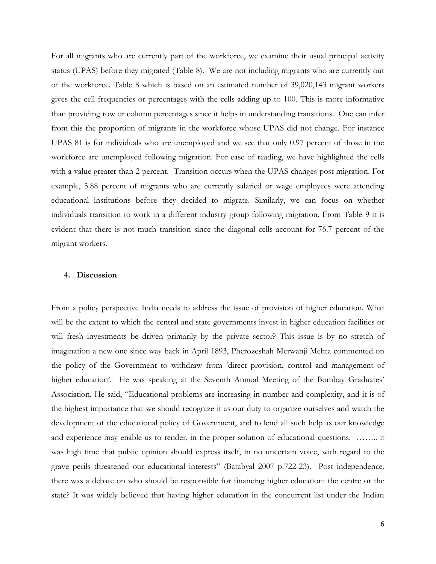For all migrants who are currently part of the workforce, we examine their usual principal activity status (UPAS) before they migrated (Table 8). We are not including migrants who are currently out of the workforce. Table 8 which is based on an estimated number of 39,020,143 migrant workers gives the cell frequencies or percentages with the cells adding up to 100. This is more informative than providing row or column percentages since it helps in understanding transitions. One can infer from this the proportion of migrants in the workforce whose UPAS did not change. For instance UPAS 81 is for individuals who are unemployed and we see that only 0.97 percent of those in the workforce are unemployed following migration. For ease of reading, we have highlighted the cells with a value greater than 2 percent. Transition occurs when the UPAS changes post migration. For example, 5.88 percent of migrants who are currently salaried or wage employees were attending educational institutions before they decided to migrate. Similarly, we can focus on whether individuals transition to work in a different industry group following migration. From Table 9 it is evident that there is not much transition since the diagonal cells account for 76.7 percent of the migrant workers.

## **4. Discussion**

From a policy perspective India needs to address the issue of provision of higher education. What will be the extent to which the central and state governments invest in higher education facilities or will fresh investments be driven primarily by the private sector? This issue is by no stretch of imagination a new one since way back in April 1893, Pherozeshah Merwanji Mehta commented on the policy of the Government to withdraw from "direct provision, control and management of higher education'. He was speaking at the Seventh Annual Meeting of the Bombay Graduates' Association. He said, "Educational problems are increasing in number and complexity, and it is of the highest importance that we should recognize it as our duty to organize ourselves and watch the development of the educational policy of Government, and to lend all such help as our knowledge and experience may enable us to render, in the proper solution of educational questions. …….. it was high time that public opinion should express itself, in no uncertain voice, with regard to the grave perils threatened our educational interests" (Batabyal 2007 p.722-23). Post independence, there was a debate on who should be responsible for financing higher education: the centre or the state? It was widely believed that having higher education in the concurrent list under the Indian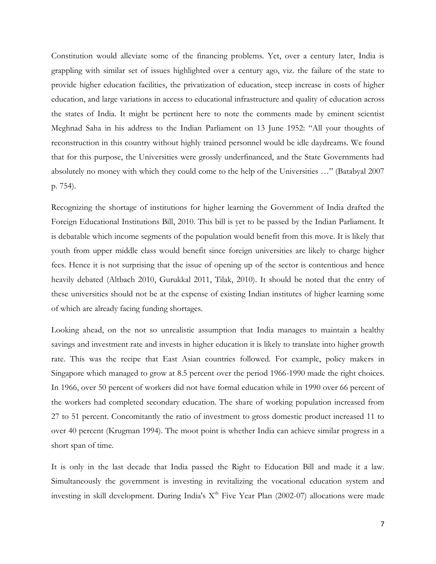Constitution would alleviate some of the financing problems. Yet, over a century later, India is grappling with similar set of issues highlighted over a century ago, viz. the failure of the state to provide higher education facilities, the privatization of education, steep increase in costs of higher education, and large variations in access to educational infrastructure and quality of education across the states of India. It might be pertinent here to note the comments made by eminent scientist Meghnad Saha in his address to the Indian Parliament on 13 June 1952: "All your thoughts of reconstruction in this country without highly trained personnel would be idle daydreams. We found that for this purpose, the Universities were grossly underfinanced, and the State Governments had absolutely no money with which they could come to the help of the Universities …" (Batabyal 2007 p. 754).

Recognizing the shortage of institutions for higher learning the Government of India drafted the Foreign Educational Institutions Bill, 2010. This bill is yet to be passed by the Indian Parliament. It is debatable which income segments of the population would benefit from this move. It is likely that youth from upper middle class would benefit since foreign universities are likely to charge higher fees. Hence it is not surprising that the issue of opening up of the sector is contentious and hence heavily debated (Altbach 2010, Gurukkal 2011, Tilak, 2010). It should be noted that the entry of these universities should not be at the expense of existing Indian institutes of higher learning some of which are already facing funding shortages.

Looking ahead, on the not so unrealistic assumption that India manages to maintain a healthy savings and investment rate and invests in higher education it is likely to translate into higher growth rate. This was the recipe that East Asian countries followed. For example, policy makers in Singapore which managed to grow at 8.5 percent over the period 1966-1990 made the right choices. In 1966, over 50 percent of workers did not have formal education while in 1990 over 66 percent of the workers had completed secondary education. The share of working population increased from 27 to 51 percent. Concomitantly the ratio of investment to gross domestic product increased 11 to over 40 percent (Krugman 1994). The moot point is whether India can achieve similar progress in a short span of time.

It is only in the last decade that India passed the Right to Education Bill and made it a law. Simultaneously the government is investing in revitalizing the vocational education system and investing in skill development. During India's X<sup>th</sup> Five Year Plan (2002-07) allocations were made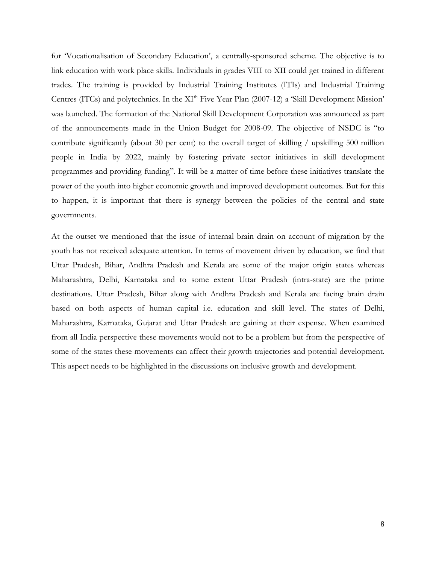for 'Vocationalisation of Secondary Education', a centrally-sponsored scheme. The objective is to link education with work place skills. Individuals in grades VIII to XII could get trained in different trades. The training is provided by Industrial Training Institutes (ITIs) and Industrial Training Centres (ITCs) and polytechnics. In the XI<sup>th</sup> Five Year Plan (2007-12) a 'Skill Development Mission' was launched. The formation of the National Skill Development Corporation was announced as part of the announcements made in the Union Budget for 2008-09. The objective of NSDC is "to contribute significantly (about 30 per cent) to the overall target of skilling / upskilling 500 million people in India by 2022, mainly by fostering private sector initiatives in skill development programmes and providing funding". It will be a matter of time before these initiatives translate the power of the youth into higher economic growth and improved development outcomes. But for this to happen, it is important that there is synergy between the policies of the central and state governments.

At the outset we mentioned that the issue of internal brain drain on account of migration by the youth has not received adequate attention. In terms of movement driven by education, we find that Uttar Pradesh, Bihar, Andhra Pradesh and Kerala are some of the major origin states whereas Maharashtra, Delhi, Karnataka and to some extent Uttar Pradesh (intra-state) are the prime destinations. Uttar Pradesh, Bihar along with Andhra Pradesh and Kerala are facing brain drain based on both aspects of human capital i.e. education and skill level. The states of Delhi, Maharashtra, Karnataka, Gujarat and Uttar Pradesh are gaining at their expense. When examined from all India perspective these movements would not to be a problem but from the perspective of some of the states these movements can affect their growth trajectories and potential development. This aspect needs to be highlighted in the discussions on inclusive growth and development.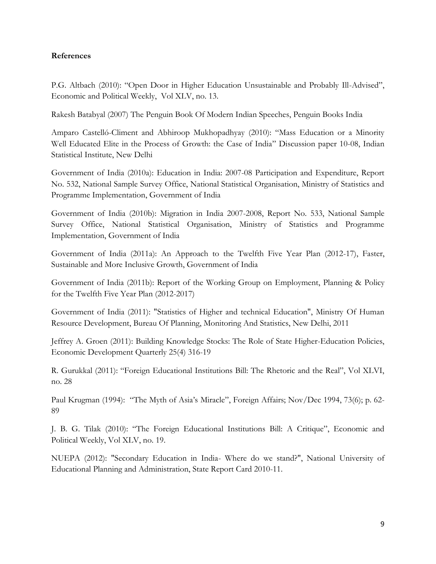## **References**

P.G. Altbach (2010): "Open Door in Higher Education Unsustainable and Probably Ill-Advised", Economic and Political Weekly, Vol XLV, no. 13.

Rakesh Batabyal (2007) The Penguin Book Of Modern Indian Speeches, Penguin Books India

Amparo Castelló-Climent and Abhiroop Mukhopadhyay (2010): "Mass Education or a Minority Well Educated Elite in the Process of Growth: the Case of India" Discussion paper 10-08, Indian Statistical Institute, New Delhi

Government of India (2010a): Education in India: 2007-08 Participation and Expenditure, Report No. 532, National Sample Survey Office, National Statistical Organisation, Ministry of Statistics and Programme Implementation, Government of India

Government of India (2010b): Migration in India 2007-2008, Report No. 533, National Sample Survey Office, National Statistical Organisation, Ministry of Statistics and Programme Implementation, Government of India

Government of India (2011a): An Approach to the Twelfth Five Year Plan (2012-17), Faster, Sustainable and More Inclusive Growth, Government of India

Government of India (2011b): Report of the Working Group on Employment, Planning & Policy for the Twelfth Five Year Plan (2012-2017)

Government of India (2011): "Statistics of Higher and technical Education", Ministry Of Human Resource Development, Bureau Of Planning, Monitoring And Statistics, New Delhi, 2011

Jeffrey A. Groen (2011): Building Knowledge Stocks: The Role of State Higher-Education Policies, Economic Development Quarterly 25(4) 316-19

R. Gurukkal (2011): "Foreign Educational Institutions Bill: The Rhetoric and the Real", Vol XLVI, no. 28

Paul Krugman (1994): "The Myth of Asia's Miracle", Foreign Affairs; Nov/Dec 1994, 73(6); p. 62-89

J. B. G. Tilak (2010): "The Foreign Educational Institutions Bill: A Critique", Economic and Political Weekly, Vol XLV, no. 19.

NUEPA (2012): "Secondary Education in India- Where do we stand?", National University of Educational Planning and Administration, State Report Card 2010-11.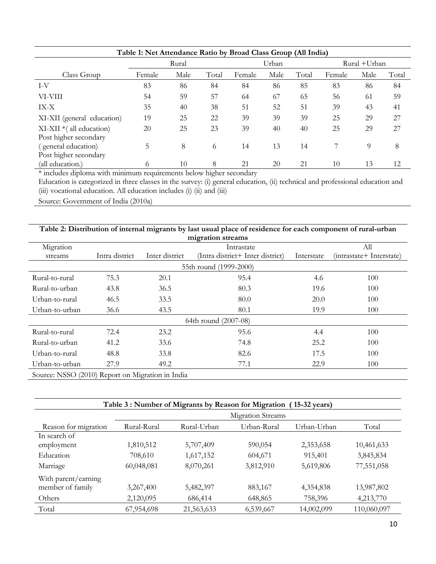| Table 1: Net Attendance Ratio by Broad Class Group (All India) |        |      |       |        |       |       |              |      |       |  |
|----------------------------------------------------------------|--------|------|-------|--------|-------|-------|--------------|------|-------|--|
|                                                                | Rural  |      |       |        | Urban |       | Rural +Urban |      |       |  |
| Class Group                                                    | Female | Male | Total | Female | Male  | Total | Female       | Male | Total |  |
| I-V                                                            | 83     | 86   | 84    | 84     | 86    | 85    | 83           | 86   | 84    |  |
| VI-VIII                                                        | 54     | 59   | 57    | 64     | 67    | 65    | 56           | 61   | 59    |  |
| IX-X                                                           | 35     | 40   | 38    | 51     | 52    | 51    | 39           | 43   | 41    |  |
| XI-XII (general education)                                     | 19     | 25   | 22    | 39     | 39    | 39    | 25           | 29   | 27    |  |
| $XI-XII *$ (all education)                                     | 20     | 25   | 23    | 39     | 40    | 40    | 25           | 29   | 27    |  |
| Post higher secondary                                          |        |      |       |        |       |       |              |      |       |  |
| (general education)                                            | 5      | 8    | 6     | 14     | 13    | 14    |              | 9    | 8     |  |
| Post higher secondary                                          |        |      |       |        |       |       |              |      |       |  |
| (all education.)                                               | 6      | 10   | 8     | 21     | 20    | 21    | 10           | 13   | 12    |  |

\* includes diploma with minimum requirements below higher secondary

Education is categorized in three classes in the survey: (i) general education, (ii) technical and professional education and (iii) vocational education. All education includes (i) (ii) and (iii)

Source: Government of India (2010a)

| Table 2: Distribution of internal migrants by last usual place of residence for each component of rural-urban |                   |                |                                  |            |                          |  |  |  |  |  |
|---------------------------------------------------------------------------------------------------------------|-------------------|----------------|----------------------------------|------------|--------------------------|--|--|--|--|--|
|                                                                                                               |                   |                | migration streams                |            |                          |  |  |  |  |  |
| Migration                                                                                                     | All<br>Intrastate |                |                                  |            |                          |  |  |  |  |  |
| streams                                                                                                       | Intra district    | Inter district | (Intra district+ Inter district) | Interstate | (intrastate+ Interstate) |  |  |  |  |  |
| 55th round (1999-2000)                                                                                        |                   |                |                                  |            |                          |  |  |  |  |  |
| Rural-to-rural                                                                                                | 75.3              | 20.1           | 95.4                             | 4.6        | 100                      |  |  |  |  |  |
| Rural-to-urban                                                                                                | 43.8              | 36.5           | 80.3                             | 19.6       | 100                      |  |  |  |  |  |
| Urban-to-rural                                                                                                | 46.5              | 33.5           | 80.0                             | 20.0       | 100                      |  |  |  |  |  |
| Urban-to-urban                                                                                                | 36.6              | 43.5           | 80.1                             | 19.9       | 100                      |  |  |  |  |  |
|                                                                                                               |                   |                | 64th round (2007-08)             |            |                          |  |  |  |  |  |
| Rural-to-rural                                                                                                | 72.4              | 23.2           | 95.6                             | 4.4        | 100                      |  |  |  |  |  |
| Rural-to-urban                                                                                                | 41.2              | 33.6           | 74.8                             | 25.2       | 100                      |  |  |  |  |  |
| Urban-to-rural                                                                                                | 48.8              | 33.8           | 82.6                             | 17.5       | 100                      |  |  |  |  |  |
| Urban-to-urban                                                                                                | 27.9              | 49.2           | 77.1                             | 22.9       | 100                      |  |  |  |  |  |
| Source: NSSO (2010) Report on Migration in India                                                              |                   |                |                                  |            |                          |  |  |  |  |  |

| Table 3: Number of Migrants by Reason for Migration<br>$(15-32 \text{ years})$ |                          |             |             |             |             |  |  |  |  |  |
|--------------------------------------------------------------------------------|--------------------------|-------------|-------------|-------------|-------------|--|--|--|--|--|
|                                                                                | <b>Migration Streams</b> |             |             |             |             |  |  |  |  |  |
| Reason for migration                                                           | Rural-Rural              | Rural-Urban | Urban-Rural | Urban-Urban | Total       |  |  |  |  |  |
| In search of                                                                   |                          |             |             |             |             |  |  |  |  |  |
| employment                                                                     | 1,810,512                | 5,707,409   | 590,054     | 2,353,658   | 10,461,633  |  |  |  |  |  |
| Education                                                                      | 708,610                  | 1,617,152   | 604,671     | 915,401     | 3,845,834   |  |  |  |  |  |
| Marriage                                                                       | 60,048,081               | 8,070,261   | 3,812,910   | 5,619,806   | 77,551,058  |  |  |  |  |  |
| With parent/earning                                                            |                          |             |             |             |             |  |  |  |  |  |
| member of family                                                               | 3,267,400                | 5,482,397   | 883,167     | 4,354,838   | 13,987,802  |  |  |  |  |  |
| Others                                                                         | 2,120,095                | 686,414     | 648,865     | 758,396     | 4,213,770   |  |  |  |  |  |
| Total                                                                          | 67,954,698               | 21,563,633  | 6,539,667   | 14,002,099  | 110,060,097 |  |  |  |  |  |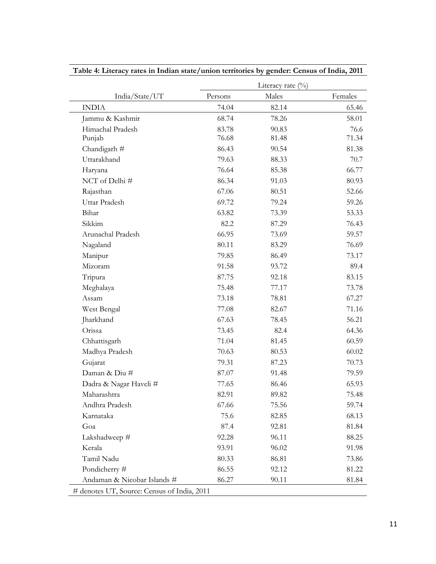|                                             | Literacy rate (%) |       |         |  |  |  |  |  |
|---------------------------------------------|-------------------|-------|---------|--|--|--|--|--|
| India/State/UT                              | Persons           | Males | Females |  |  |  |  |  |
| <b>INDIA</b>                                | 74.04             | 82.14 | 65.46   |  |  |  |  |  |
| Jammu & Kashmir                             | 68.74             | 78.26 | 58.01   |  |  |  |  |  |
| Himachal Pradesh                            | 83.78             | 90.83 | 76.6    |  |  |  |  |  |
| Punjab                                      | 76.68             | 81.48 | 71.34   |  |  |  |  |  |
| Chandigarh #                                | 86.43             | 90.54 | 81.38   |  |  |  |  |  |
| Uttarakhand                                 | 79.63             | 88.33 | 70.7    |  |  |  |  |  |
| Haryana                                     | 76.64             | 85.38 | 66.77   |  |  |  |  |  |
| NCT of Delhi#                               | 86.34             | 91.03 | 80.93   |  |  |  |  |  |
| Rajasthan                                   | 67.06             | 80.51 | 52.66   |  |  |  |  |  |
| Uttar Pradesh                               | 69.72             | 79.24 | 59.26   |  |  |  |  |  |
| Bihar                                       | 63.82             | 73.39 | 53.33   |  |  |  |  |  |
| Sikkim                                      | 82.2              | 87.29 | 76.43   |  |  |  |  |  |
| Arunachal Pradesh                           | 66.95             | 73.69 | 59.57   |  |  |  |  |  |
| Nagaland                                    | 80.11             | 83.29 | 76.69   |  |  |  |  |  |
| Manipur                                     | 79.85             | 86.49 | 73.17   |  |  |  |  |  |
| Mizoram                                     | 91.58             | 93.72 | 89.4    |  |  |  |  |  |
| Tripura                                     | 87.75             | 92.18 | 83.15   |  |  |  |  |  |
| Meghalaya                                   | 75.48             | 77.17 | 73.78   |  |  |  |  |  |
| Assam                                       | 73.18             | 78.81 | 67.27   |  |  |  |  |  |
| West Bengal                                 | 77.08             | 82.67 | 71.16   |  |  |  |  |  |
| Jharkhand                                   | 67.63             | 78.45 | 56.21   |  |  |  |  |  |
| Orissa                                      | 73.45             | 82.4  | 64.36   |  |  |  |  |  |
| Chhattisgarh                                | 71.04             | 81.45 | 60.59   |  |  |  |  |  |
| Madhya Pradesh                              | 70.63             | 80.53 | 60.02   |  |  |  |  |  |
| Gujarat                                     | 79.31             | 87.23 | 70.73   |  |  |  |  |  |
| Daman & Diu #                               | 87.07             | 91.48 | 79.59   |  |  |  |  |  |
| Dadra & Nagar Haveli#                       | 77.65             | 86.46 | 65.93   |  |  |  |  |  |
| Maharashtra                                 | 82.91             | 89.82 | 75.48   |  |  |  |  |  |
| Andhra Pradesh                              | 67.66             | 75.56 | 59.74   |  |  |  |  |  |
| Karnataka                                   | 75.6              | 82.85 | 68.13   |  |  |  |  |  |
| Goa                                         | 87.4              | 92.81 | 81.84   |  |  |  |  |  |
| Lakshadweep #                               | 92.28             | 96.11 | 88.25   |  |  |  |  |  |
| Kerala                                      | 93.91             | 96.02 | 91.98   |  |  |  |  |  |
| Tamil Nadu                                  | 80.33             | 86.81 | 73.86   |  |  |  |  |  |
| Pondicherry#                                | 86.55             | 92.12 | 81.22   |  |  |  |  |  |
| Andaman & Nicobar Islands #                 | 86.27             | 90.11 | 81.84   |  |  |  |  |  |
| # denotes UT, Source: Census of India, 2011 |                   |       |         |  |  |  |  |  |

**Table 4: Literacy rates in Indian state/union territories by gender: Census of India, 2011**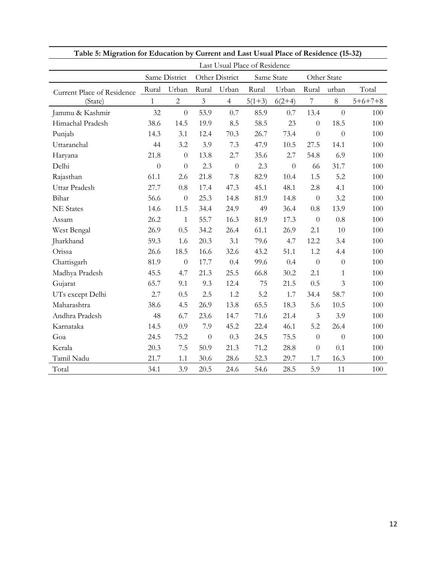| Table 5: Migration for Education by Current and Last Usual Place of Residence (15-32) |                |                               |                |                |          |                |                  |                |           |  |
|---------------------------------------------------------------------------------------|----------------|-------------------------------|----------------|----------------|----------|----------------|------------------|----------------|-----------|--|
|                                                                                       |                | Last Usual Place of Residence |                |                |          |                |                  |                |           |  |
|                                                                                       |                | Same District                 |                | Other District |          | Same State     |                  | Other State    |           |  |
| <b>Current Place of Residence</b>                                                     | Rural          | Urban                         | Rural          | Urban          | Rural    | Urban          | Rural            | urban          | Total     |  |
| (State)                                                                               | $\mathbf{1}$   | $\overline{c}$                | $\mathfrak{Z}$ | $\overline{4}$ | $5(1+3)$ | $6(2+4)$       | $\overline{7}$   | $8\,$          | $5+6+7+8$ |  |
| Jammu & Kashmir                                                                       | 32             | $\overline{0}$                | 53.9           | 0.7            | 85.9     | 0.7            | 13.4             | $\overline{0}$ | 100       |  |
| Himachal Pradesh                                                                      | 38.6           | 14.5                          | 19.9           | 8.5            | 58.5     | 23             | $\boldsymbol{0}$ | 18.5           | 100       |  |
| Punjab                                                                                | 14.3           | 3.1                           | 12.4           | 70.3           | 26.7     | 73.4           | $\overline{0}$   | $\overline{0}$ | 100       |  |
| Uttaranchal                                                                           | 44             | 3.2                           | 3.9            | 7.3            | 47.9     | 10.5           | 27.5             | 14.1           | 100       |  |
| Haryana                                                                               | 21.8           | $\theta$                      | 13.8           | 2.7            | 35.6     | 2.7            | 54.8             | 6.9            | 100       |  |
| Delhi                                                                                 | $\overline{0}$ | $\overline{0}$                | 2.3            | $\overline{0}$ | 2.3      | $\overline{0}$ | 66               | 31.7           | 100       |  |
| Rajasthan                                                                             | 61.1           | 2.6                           | 21.8           | 7.8            | 82.9     | 10.4           | 1.5              | 5.2            | 100       |  |
| Uttar Pradesh                                                                         | 27.7           | 0.8                           | 17.4           | 47.3           | 45.1     | 48.1           | 2.8              | 4.1            | 100       |  |
| Bihar                                                                                 | 56.6           | $\overline{0}$                | 25.3           | 14.8           | 81.9     | 14.8           | $\theta$         | 3.2            | 100       |  |
| <b>NE</b> States                                                                      | 14.6           | 11.5                          | 34.4           | 24.9           | 49       | 36.4           | 0.8              | 13.9           | 100       |  |
| Assam                                                                                 | 26.2           | $\mathbf{1}$                  | 55.7           | 16.3           | 81.9     | 17.3           | $\theta$         | 0.8            | 100       |  |
| West Bengal                                                                           | 26.9           | 0.5                           | 34.2           | 26.4           | 61.1     | 26.9           | 2.1              | 10             | 100       |  |
| Jharkhand                                                                             | 59.3           | 1.6                           | 20.3           | 3.1            | 79.6     | 4.7            | 12.2             | 3.4            | 100       |  |
| Orissa                                                                                | 26.6           | 18.5                          | 16.6           | 32.6           | 43.2     | 51.1           | 1.2              | 4.4            | 100       |  |
| Chattisgarh                                                                           | 81.9           | $\theta$                      | 17.7           | 0.4            | 99.6     | 0.4            | $\theta$         | $\overline{0}$ | 100       |  |
| Madhya Pradesh                                                                        | 45.5           | 4.7                           | 21.3           | 25.5           | 66.8     | 30.2           | 2.1              | $\mathbf{1}$   | 100       |  |
| Gujarat                                                                               | 65.7           | 9.1                           | 9.3            | 12.4           | 75       | 21.5           | 0.5              | 3              | 100       |  |
| UTs except Delhi                                                                      | 2.7            | 0.5                           | 2.5            | 1.2            | 5.2      | 1.7            | 34.4             | 58.7           | 100       |  |
| Maharashtra                                                                           | 38.6           | 4.5                           | 26.9           | 13.8           | 65.5     | 18.3           | 5.6              | 10.5           | 100       |  |
| Andhra Pradesh                                                                        | 48             | 6.7                           | 23.6           | 14.7           | 71.6     | 21.4           | 3                | 3.9            | 100       |  |
| Karnataka                                                                             | 14.5           | 0.9                           | 7.9            | 45.2           | 22.4     | 46.1           | 5.2              | 26.4           | 100       |  |
| Goa                                                                                   | 24.5           | 75.2                          | $\overline{0}$ | 0.3            | 24.5     | 75.5           | $\overline{0}$   | $\overline{0}$ | 100       |  |
| Kerala                                                                                | 20.3           | 7.5                           | 50.9           | 21.3           | 71.2     | 28.8           | $\overline{0}$   | 0.1            | 100       |  |
| Tamil Nadu                                                                            | 21.7           | 1.1                           | 30.6           | 28.6           | 52.3     | 29.7           | 1.7              | 16.3           | 100       |  |
| Total                                                                                 | 34.1           | 3.9                           | 20.5           | 24.6           | 54.6     | 28.5           | 5.9              | 11             | 100       |  |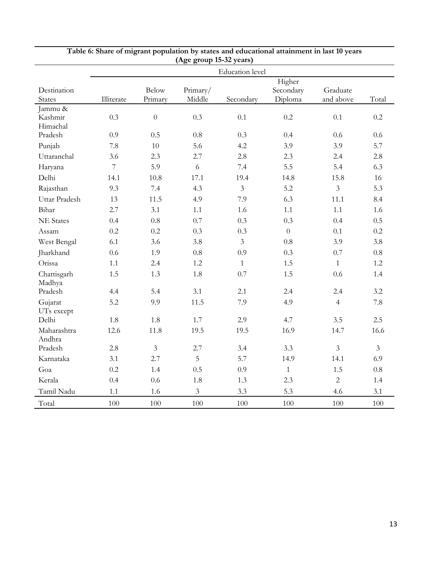|                                |                |                         |                    | <b>Education</b> level |                                |                       |                |
|--------------------------------|----------------|-------------------------|--------------------|------------------------|--------------------------------|-----------------------|----------------|
| Destination<br><b>States</b>   | Illiterate     | <b>Below</b><br>Primary | Primary/<br>Middle | Secondary              | Higher<br>Secondary<br>Diploma | Graduate<br>and above | Total          |
| Jammu &<br>Kashmir<br>Himachal | 0.3            | $\overline{0}$          | 0.3                | 0.1                    | 0.2                            | 0.1                   | 0.2            |
| Pradesh                        | 0.9            | 0.5                     | 0.8                | 0.3                    | 0.4                            | 0.6                   | 0.6            |
| Punjab                         | 7.8            | 10                      | 5.6                | 4.2                    | 3.9                            | 3.9                   | 5.7            |
| Uttaranchal                    | 3.6            | 2.3                     | 2.7                | 2.8                    | 2.3                            | 2.4                   | 2.8            |
| Haryana                        | $\overline{7}$ | 5.9                     | 6                  | 7.4                    | 5.5                            | 5.4                   | 6.3            |
| Delhi                          | 14.1           | 10.8                    | 17.1               | 19.4                   | 14.8                           | 15.8                  | 16             |
| Rajasthan                      | 9.3            | 7.4                     | 4.3                | $\mathfrak{Z}$         | 5.2                            | $\mathfrak{Z}$        | 5.3            |
| Uttar Pradesh                  | 13             | 11.5                    | 4.9                | 7.9                    | 6.3                            | 11.1                  | 8.4            |
| Bihar                          | 2.7            | 3.1                     | 1.1                | 1.6                    | 1.1                            | 1.1                   | 1.6            |
| <b>NE</b> States               | 0.4            | 0.8                     | 0.7                | 0.3                    | 0.3                            | 0.4                   | 0.5            |
| Assam                          | 0.2            | 0.2                     | 0.3                | 0.3                    | $\overline{0}$                 | 0.1                   | $0.2\,$        |
| West Bengal                    | 6.1            | 3.6                     | 3.8                | $\overline{3}$         | 0.8                            | 3.9                   | 3.8            |
| Jharkhand                      | 0.6            | 1.9                     | 0.8                | 0.9                    | 0.3                            | 0.7                   | $0.8\,$        |
| Orissa                         | 1.1            | 2.4                     | 1.2                | $\mathbf{1}$           | 1.5                            | $\mathbf{1}$          | $1.2\,$        |
| Chattisgarh<br>Madhya          | 1.5            | 1.3                     | 1.8                | 0.7                    | 1.5                            | 0.6                   | 1.4            |
| Pradesh                        | 4.4            | 5.4                     | 3.1                | 2.1                    | 2.4                            | 2.4                   | 3.2            |
| Gujarat<br>UTs except          | 5.2            | 9.9                     | 11.5               | 7.9                    | 4.9                            | $\overline{4}$        | 7.8            |
| Delhi                          | 1.8            | 1.8                     | 1.7                | 2.9                    | 4.7                            | 3.5                   | 2.5            |
| Maharashtra<br>Andhra          | 12.6           | 11.8                    | 19.5               | 19.5                   | 16.9                           | 14.7                  | 16.6           |
| Pradesh                        | 2.8            | $\overline{3}$          | 2.7                | 3.4                    | 3.3                            | $\overline{3}$        | $\overline{3}$ |
| Karnataka                      | 3.1            | 2.7                     | 5                  | 5.7                    | 14.9                           | 14.1                  | 6.9            |
| Goa                            | 0.2            | 1.4                     | 0.5                | 0.9                    | $\mathbf{1}$                   | 1.5                   | 0.8            |
| Kerala                         | 0.4            | 0.6                     | 1.8                | 1.3                    | 2.3                            | $\overline{2}$        | 1.4            |
| Tamil Nadu                     | 1.1            | 1.6                     | 3                  | 3.3                    | 5.3                            | 4.6                   | 3.1            |
| Total                          | 100            | 100                     | 100                | 100                    | 100                            | 100                   | 100            |

# **Table 6: Share of migrant population by states and educational attainment in last 10 years (Age group 15-32 years)**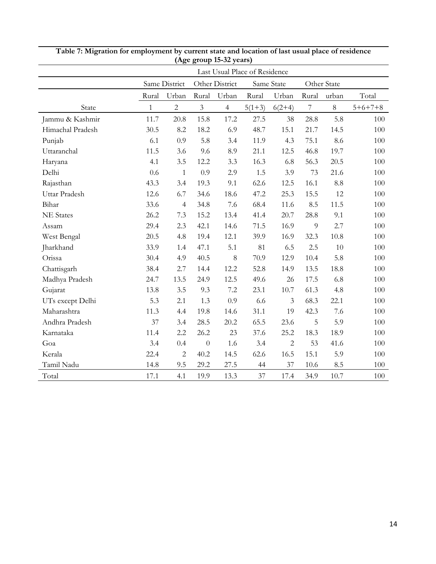| Last Usual Place of Residence |              |                |                  |                |          |                |                |             |           |  |
|-------------------------------|--------------|----------------|------------------|----------------|----------|----------------|----------------|-------------|-----------|--|
|                               |              | Same District  |                  | Other District |          | Same State     |                | Other State |           |  |
|                               | Rural        | Urban          | Rural            | Urban          | Rural    | Urban          | Rural          | urban       | Total     |  |
| State                         | $\mathbf{1}$ | $\overline{2}$ | $\mathfrak{Z}$   | $\overline{4}$ | $5(1+3)$ | $6(2+4)$       | $\overline{7}$ | 8           | $5+6+7+8$ |  |
| Jammu & Kashmir               | 11.7         | 20.8           | 15.8             | 17.2           | 27.5     | 38             | 28.8           | 5.8         | 100       |  |
| Himachal Pradesh              | 30.5         | 8.2            | 18.2             | 6.9            | 48.7     | 15.1           | 21.7           | 14.5        | 100       |  |
| Punjab                        | 6.1          | 0.9            | 5.8              | 3.4            | 11.9     | 4.3            | 75.1           | 8.6         | 100       |  |
| Uttaranchal                   | 11.5         | 3.6            | 9.6              | 8.9            | 21.1     | 12.5           | 46.8           | 19.7        | 100       |  |
| Haryana                       | 4.1          | 3.5            | 12.2             | 3.3            | 16.3     | 6.8            | 56.3           | 20.5        | 100       |  |
| Delhi                         | 0.6          | $\mathbf{1}$   | 0.9              | 2.9            | 1.5      | 3.9            | 73             | 21.6        | 100       |  |
| Rajasthan                     | 43.3         | 3.4            | 19.3             | 9.1            | 62.6     | 12.5           | 16.1           | 8.8         | 100       |  |
| Uttar Pradesh                 | 12.6         | 6.7            | 34.6             | 18.6           | 47.2     | 25.3           | 15.5           | 12          | 100       |  |
| Bihar                         | 33.6         | $\overline{4}$ | 34.8             | 7.6            | 68.4     | 11.6           | 8.5            | 11.5        | 100       |  |
| <b>NE</b> States              | 26.2         | 7.3            | 15.2             | 13.4           | 41.4     | 20.7           | 28.8           | 9.1         | 100       |  |
| Assam                         | 29.4         | 2.3            | 42.1             | 14.6           | 71.5     | 16.9           | 9              | 2.7         | 100       |  |
| West Bengal                   | 20.5         | 4.8            | 19.4             | 12.1           | 39.9     | 16.9           | 32.3           | 10.8        | 100       |  |
| Jharkhand                     | 33.9         | 1.4            | 47.1             | 5.1            | 81       | 6.5            | 2.5            | 10          | 100       |  |
| Orissa                        | 30.4         | 4.9            | 40.5             | 8              | 70.9     | 12.9           | 10.4           | 5.8         | 100       |  |
| Chattisgarh                   | 38.4         | 2.7            | 14.4             | 12.2           | 52.8     | 14.9           | 13.5           | 18.8        | 100       |  |
| Madhya Pradesh                | 24.7         | 13.5           | 24.9             | 12.5           | 49.6     | 26             | 17.5           | 6.8         | 100       |  |
| Gujarat                       | 13.8         | 3.5            | 9.3              | 7.2            | 23.1     | 10.7           | 61.3           | 4.8         | 100       |  |
| UTs except Delhi              | 5.3          | 2.1            | 1.3              | 0.9            | 6.6      | 3              | 68.3           | 22.1        | 100       |  |
| Maharashtra                   | 11.3         | 4.4            | 19.8             | 14.6           | 31.1     | 19             | 42.3           | 7.6         | 100       |  |
| Andhra Pradesh                | 37           | 3.4            | 28.5             | 20.2           | 65.5     | 23.6           | 5              | 5.9         | 100       |  |
| Karnataka                     | 11.4         | 2.2            | 26.2             | 23             | 37.6     | 25.2           | 18.3           | 18.9        | 100       |  |
| Goa                           | 3.4          | 0.4            | $\boldsymbol{0}$ | 1.6            | 3.4      | $\overline{2}$ | 53             | 41.6        | 100       |  |
| Kerala                        | 22.4         | $\overline{c}$ | 40.2             | 14.5           | 62.6     | 16.5           | 15.1           | 5.9         | 100       |  |
| Tamil Nadu                    | 14.8         | 9.5            | 29.2             | 27.5           | 44       | 37             | 10.6           | 8.5         | 100       |  |
| Total                         | 17.1         | 4.1            | 19.9             | 13.3           | 37       | 17.4           | 34.9           | 10.7        | 100       |  |

**Table 7: Migration for employment by current state and location of last usual place of residence (Age group 15-32 years)**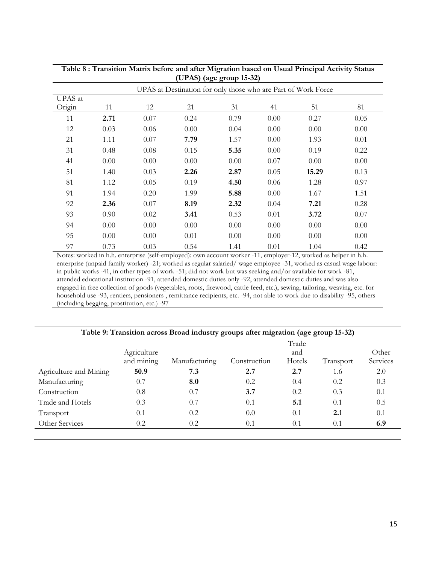|         | UPAS at Destination for only those who are Part of Work Force |      |      |      |      |       |      |  |  |  |
|---------|---------------------------------------------------------------|------|------|------|------|-------|------|--|--|--|
| UPAS at |                                                               |      |      |      |      |       |      |  |  |  |
| Origin  | 11                                                            | 12   | 21   | 31   | 41   | 51    | 81   |  |  |  |
| 11      | 2.71                                                          | 0.07 | 0.24 | 0.79 | 0.00 | 0.27  | 0.05 |  |  |  |
| 12      | 0.03                                                          | 0.06 | 0.00 | 0.04 | 0.00 | 0.00  | 0.00 |  |  |  |
| 21      | 1.11                                                          | 0.07 | 7.79 | 1.57 | 0.00 | 1.93  | 0.01 |  |  |  |
| 31      | 0.48                                                          | 0.08 | 0.15 | 5.35 | 0.00 | 0.19  | 0.22 |  |  |  |
| 41      | 0.00                                                          | 0.00 | 0.00 | 0.00 | 0.07 | 0.00  | 0.00 |  |  |  |
| 51      | 1.40                                                          | 0.03 | 2.26 | 2.87 | 0.05 | 15.29 | 0.13 |  |  |  |
| 81      | 1.12                                                          | 0.05 | 0.19 | 4.50 | 0.06 | 1.28  | 0.97 |  |  |  |
| 91      | 1.94                                                          | 0.20 | 1.99 | 5.88 | 0.00 | 1.67  | 1.51 |  |  |  |
| 92      | 2.36                                                          | 0.07 | 8.19 | 2.32 | 0.04 | 7.21  | 0.28 |  |  |  |
| 93      | 0.90                                                          | 0.02 | 3.41 | 0.53 | 0.01 | 3.72  | 0.07 |  |  |  |
| 94      | 0.00                                                          | 0.00 | 0.00 | 0.00 | 0.00 | 0.00  | 0.00 |  |  |  |
| 95      | 0.00                                                          | 0.00 | 0.01 | 0.00 | 0.00 | 0.00  | 0.00 |  |  |  |
| 97      | 0.73                                                          | 0.03 | 0.54 | 1.41 | 0.01 | 1.04  | 0.42 |  |  |  |

**Table 8 : Transition Matrix before and after Migration based on Usual Principal Activity Status (UPAS) (age group 15-32)**

Notes: worked in h.h. enterprise (self-employed): own account worker -11, employer-12, worked as helper in h.h. enterprise (unpaid family worker) -21; worked as regular salaried/ wage employee -31, worked as casual wage labour: in public works -41, in other types of work -51; did not work but was seeking and/or available for work -81, attended educational institution -91, attended domestic duties only -92, attended domestic duties and was also engaged in free collection of goods (vegetables, roots, firewood, cattle feed, etc.), sewing, tailoring, weaving, etc. for household use -93, rentiers, pensioners , remittance recipients, etc. -94, not able to work due to disability -95, others (including begging, prostitution, etc.) -97

| Table 9: Transition across Broad industry groups after migration (age group 15-32) |               |              |        |           |          |  |  |  |  |  |
|------------------------------------------------------------------------------------|---------------|--------------|--------|-----------|----------|--|--|--|--|--|
|                                                                                    |               |              | Trade  |           |          |  |  |  |  |  |
| Agriculture                                                                        |               |              | and    |           | Other    |  |  |  |  |  |
| and mining                                                                         | Manufacturing | Construction | Hotels | Transport | Services |  |  |  |  |  |
| 50.9                                                                               | 7.3           | 2.7          | 2.7    | 1.6       | 2.0      |  |  |  |  |  |
| 0.7                                                                                | 8.0           | 0.2          | 0.4    | 0.2       | 0.3      |  |  |  |  |  |
| 0.8                                                                                | 0.7           | 3.7          | 0.2    | 0.3       | 0.1      |  |  |  |  |  |
| 0.3                                                                                | 0.7           | 0.1          | 5.1    | 0.1       | 0.5      |  |  |  |  |  |
| 0.1                                                                                | 0.2           | 0.0          | 0.1    | 2.1       | 0.1      |  |  |  |  |  |
| 0.2                                                                                | 0.2           | 0.1          | 0.1    | 0.1       | 6.9      |  |  |  |  |  |
|                                                                                    |               |              |        |           |          |  |  |  |  |  |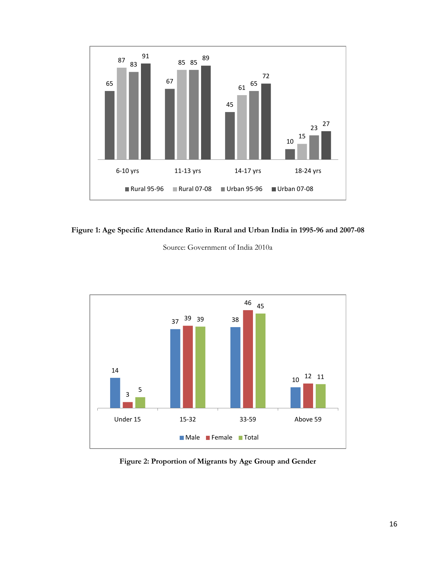

**Figure 1: Age Specific Attendance Ratio in Rural and Urban India in 1995-96 and 2007-08**

Source: Government of India 2010a



**Figure 2: Proportion of Migrants by Age Group and Gender**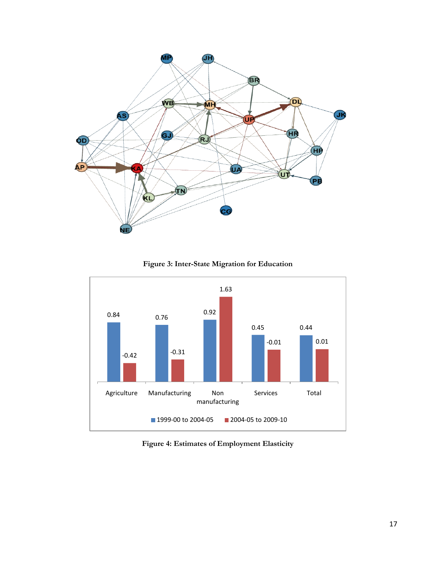

**Figure 3: Inter-State Migration for Education**



**Figure 4: Estimates of Employment Elasticity**